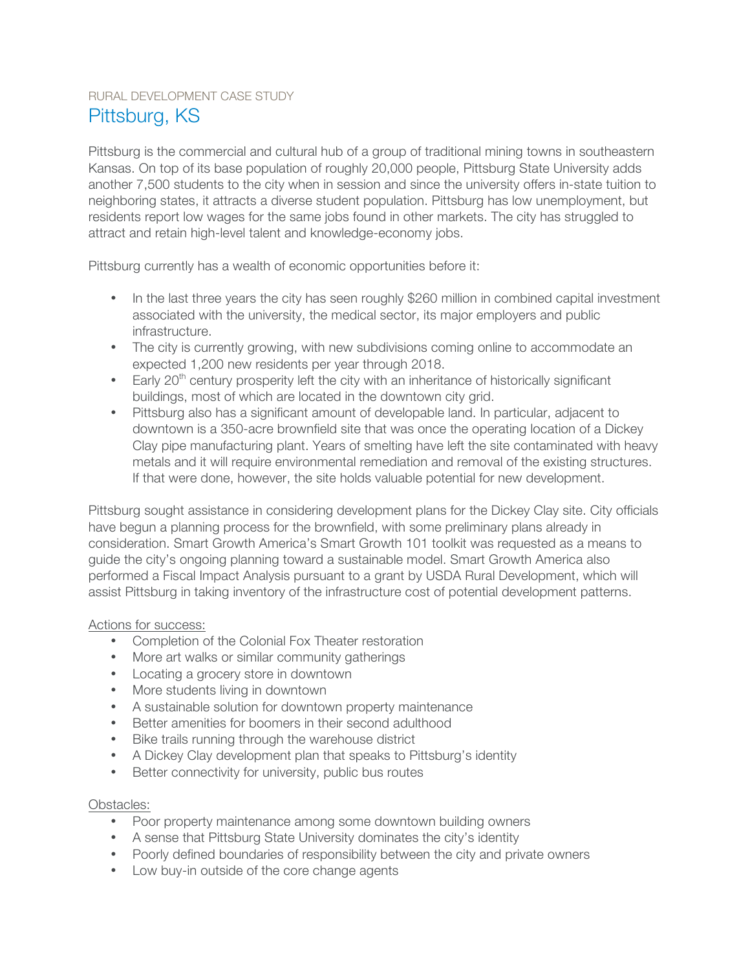# RURAL DEVELOPMENT CASE STUDY Pittsburg, KS

Pittsburg is the commercial and cultural hub of a group of traditional mining towns in southeastern Kansas. On top of its base population of roughly 20,000 people, Pittsburg State University adds another 7,500 students to the city when in session and since the university offers in-state tuition to neighboring states, it attracts a diverse student population. Pittsburg has low unemployment, but residents report low wages for the same jobs found in other markets. The city has struggled to attract and retain high-level talent and knowledge-economy jobs.

Pittsburg currently has a wealth of economic opportunities before it:

- In the last three years the city has seen roughly \$260 million in combined capital investment associated with the university, the medical sector, its major employers and public infrastructure.
- The city is currently growing, with new subdivisions coming online to accommodate an expected 1,200 new residents per year through 2018.
- Early  $20<sup>th</sup>$  century prosperity left the city with an inheritance of historically significant buildings, most of which are located in the downtown city grid.
- Pittsburg also has a significant amount of developable land. In particular, adjacent to downtown is a 350-acre brownfield site that was once the operating location of a Dickey Clay pipe manufacturing plant. Years of smelting have left the site contaminated with heavy metals and it will require environmental remediation and removal of the existing structures. If that were done, however, the site holds valuable potential for new development.

Pittsburg sought assistance in considering development plans for the Dickey Clay site. City officials have begun a planning process for the brownfield, with some preliminary plans already in consideration. Smart Growth America's Smart Growth 101 toolkit was requested as a means to guide the city's ongoing planning toward a sustainable model. Smart Growth America also performed a Fiscal Impact Analysis pursuant to a grant by USDA Rural Development, which will assist Pittsburg in taking inventory of the infrastructure cost of potential development patterns.

### Actions for success:

- Completion of the Colonial Fox Theater restoration
- More art walks or similar community gatherings
- Locating a grocery store in downtown
- More students living in downtown
- A sustainable solution for downtown property maintenance
- Better amenities for boomers in their second adulthood
- Bike trails running through the warehouse district
- A Dickey Clay development plan that speaks to Pittsburg's identity
- Better connectivity for university, public bus routes

### Obstacles:

- Poor property maintenance among some downtown building owners
- A sense that Pittsburg State University dominates the city's identity
- Poorly defined boundaries of responsibility between the city and private owners
- Low buy-in outside of the core change agents